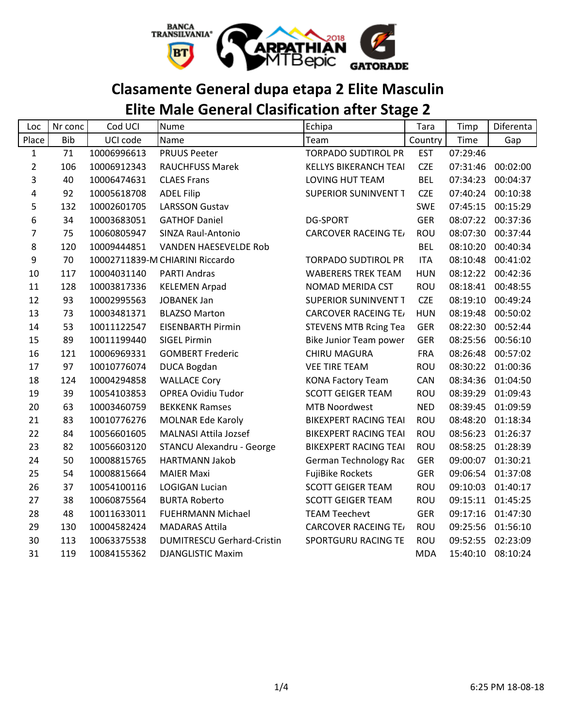

### **Clasamente General dupa etapa 2 Elite Masculin**

## **Elite Male General Clasification after Stage 2**

| Loc            | Nr conc    | Cod UCI     | Nume                              | Echipa                       | Tara       | Timp     | Diferenta |
|----------------|------------|-------------|-----------------------------------|------------------------------|------------|----------|-----------|
| Place          | <b>Bib</b> | UCI code    | Name                              | Team                         | Country    | Time     | Gap       |
| $\mathbf{1}$   | 71         | 10006996613 | <b>PRUUS Peeter</b>               | <b>TORPADO SUDTIROL PR</b>   | <b>EST</b> | 07:29:46 |           |
| $\overline{2}$ | 106        | 10006912343 | <b>RAUCHFUSS Marek</b>            | <b>KELLYS BIKERANCH TEAI</b> | <b>CZE</b> | 07:31:46 | 00:02:00  |
| 3              | 40         | 10006474631 | <b>CLAES Frans</b>                | LOVING HUT TEAM              | <b>BEL</b> | 07:34:23 | 00:04:37  |
| 4              | 92         | 10005618708 | <b>ADEL Filip</b>                 | SUPERIOR SUNINVENT T         | <b>CZE</b> | 07:40:24 | 00:10:38  |
| 5              | 132        | 10002601705 | <b>LARSSON Gustav</b>             |                              | <b>SWE</b> | 07:45:15 | 00:15:29  |
| 6              | 34         | 10003683051 | <b>GATHOF Daniel</b>              | <b>DG-SPORT</b>              | <b>GER</b> | 08:07:22 | 00:37:36  |
| 7              | 75         | 10060805947 | SINZA Raul-Antonio                | <b>CARCOVER RACEING TE/</b>  | <b>ROU</b> | 08:07:30 | 00:37:44  |
| 8              | 120        | 10009444851 | <b>VANDEN HAESEVELDE Rob</b>      |                              | <b>BEL</b> | 08:10:20 | 00:40:34  |
| 9              | 70         |             | 10002711839-M CHIARINI Riccardo   | <b>TORPADO SUDTIROL PR</b>   | <b>ITA</b> | 08:10:48 | 00:41:02  |
| 10             | 117        | 10004031140 | <b>PARTI Andras</b>               | <b>WABERERS TREK TEAM</b>    | <b>HUN</b> | 08:12:22 | 00:42:36  |
| 11             | 128        | 10003817336 | <b>KELEMEN Arpad</b>              | NOMAD MERIDA CST             | ROU        | 08:18:41 | 00:48:55  |
| 12             | 93         | 10002995563 | <b>JOBANEK Jan</b>                | SUPERIOR SUNINVENT T         | <b>CZE</b> | 08:19:10 | 00:49:24  |
| 13             | 73         | 10003481371 | <b>BLAZSO Marton</b>              | <b>CARCOVER RACEING TE/</b>  | <b>HUN</b> | 08:19:48 | 00:50:02  |
| 14             | 53         | 10011122547 | <b>EISENBARTH Pirmin</b>          | <b>STEVENS MTB Rcing Tea</b> | <b>GER</b> | 08:22:30 | 00:52:44  |
| 15             | 89         | 10011199440 | <b>SIGEL Pirmin</b>               | Bike Junior Team power       | <b>GER</b> | 08:25:56 | 00:56:10  |
| 16             | 121        | 10006969331 | <b>GOMBERT Frederic</b>           | <b>CHIRU MAGURA</b>          | <b>FRA</b> | 08:26:48 | 00:57:02  |
| 17             | 97         | 10010776074 | DUCA Bogdan                       | <b>VEE TIRE TEAM</b>         | <b>ROU</b> | 08:30:22 | 01:00:36  |
| 18             | 124        | 10004294858 | <b>WALLACE Cory</b>               | <b>KONA Factory Team</b>     | CAN        | 08:34:36 | 01:04:50  |
| 19             | 39         | 10054103853 | <b>OPREA Ovidiu Tudor</b>         | <b>SCOTT GEIGER TEAM</b>     | ROU        | 08:39:29 | 01:09:43  |
| 20             | 63         | 10003460759 | <b>BEKKENK Ramses</b>             | <b>MTB Noordwest</b>         | <b>NED</b> | 08:39:45 | 01:09:59  |
| 21             | 83         | 10010776276 | <b>MOLNAR Ede Karoly</b>          | <b>BIKEXPERT RACING TEAI</b> | ROU        | 08:48:20 | 01:18:34  |
| 22             | 84         | 10056601605 | <b>MALNASI Attila Jozsef</b>      | <b>BIKEXPERT RACING TEAI</b> | ROU        | 08:56:23 | 01:26:37  |
| 23             | 82         | 10056603120 | STANCU Alexandru - George         | <b>BIKEXPERT RACING TEAI</b> | <b>ROU</b> | 08:58:25 | 01:28:39  |
| 24             | 50         | 10008815765 | <b>HARTMANN Jakob</b>             | German Technology Rac        | <b>GER</b> | 09:00:07 | 01:30:21  |
| 25             | 54         | 10008815664 | <b>MAIER Maxi</b>                 | <b>FujiBike Rockets</b>      | <b>GER</b> | 09:06:54 | 01:37:08  |
| 26             | 37         | 10054100116 | <b>LOGIGAN Lucian</b>             | <b>SCOTT GEIGER TEAM</b>     | <b>ROU</b> | 09:10:03 | 01:40:17  |
| 27             | 38         | 10060875564 | <b>BURTA Roberto</b>              | <b>SCOTT GEIGER TEAM</b>     | <b>ROU</b> | 09:15:11 | 01:45:25  |
| 28             | 48         | 10011633011 | <b>FUEHRMANN Michael</b>          | <b>TEAM Teechevt</b>         | <b>GER</b> | 09:17:16 | 01:47:30  |
| 29             | 130        | 10004582424 | <b>MADARAS Attila</b>             | <b>CARCOVER RACEING TE/</b>  | ROU        | 09:25:56 | 01:56:10  |
| 30             | 113        | 10063375538 | <b>DUMITRESCU Gerhard-Cristin</b> | SPORTGURU RACING TE          | <b>ROU</b> | 09:52:55 | 02:23:09  |
| 31             | 119        | 10084155362 | <b>DJANGLISTIC Maxim</b>          |                              | <b>MDA</b> | 15:40:10 | 08:10:24  |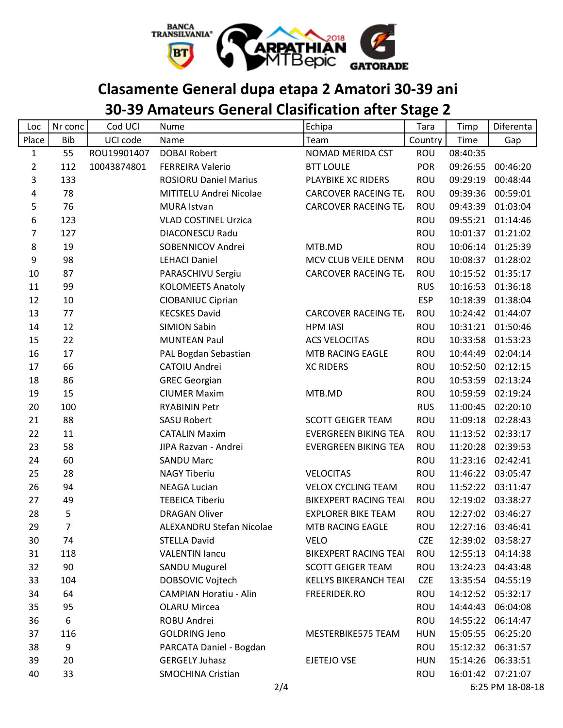

## **Clasamente General dupa etapa 2 Amatori 30-39 ani**

### **30-39 Amateurs General Clasification after Stage 2**

| Loc              | Nr conc    | Cod UCI     | Nume                          | Echipa                       | Tara       | Timp     | Diferenta         |
|------------------|------------|-------------|-------------------------------|------------------------------|------------|----------|-------------------|
| Place            | <b>Bib</b> | UCI code    | Name                          | Team                         | Country    | Time     | Gap               |
| $\mathbf{1}$     | 55         | ROU19901407 | <b>DOBAI Robert</b>           | NOMAD MERIDA CST             | ROU        | 08:40:35 |                   |
| $\overline{2}$   | 112        | 10043874801 | <b>FERREIRA Valerio</b>       | <b>BTT LOULE</b>             | <b>POR</b> | 09:26:55 | 00:46:20          |
| 3                | 133        |             | <b>ROSIORU Daniel Marius</b>  | PLAYBIKE XC RIDERS           | <b>ROU</b> | 09:29:19 | 00:48:44          |
| 4                | 78         |             | MITITELU Andrei Nicolae       | <b>CARCOVER RACEING TE/</b>  | <b>ROU</b> | 09:39:36 | 00:59:01          |
| 5                | 76         |             | <b>MURA Istvan</b>            | <b>CARCOVER RACEING TE/</b>  | <b>ROU</b> | 09:43:39 | 01:03:04          |
| 6                | 123        |             | <b>VLAD COSTINEL Urzica</b>   |                              | <b>ROU</b> | 09:55:21 | 01:14:46          |
| $\overline{7}$   | 127        |             | <b>DIACONESCU Radu</b>        |                              | <b>ROU</b> |          | 10:01:37 01:21:02 |
| 8                | 19         |             | SOBENNICOV Andrei             | MTB.MD                       | <b>ROU</b> | 10:06:14 | 01:25:39          |
| $\boldsymbol{9}$ | 98         |             | <b>LEHACI Daniel</b>          | MCV CLUB VEJLE DENM.         | ROU        |          | 10:08:37 01:28:02 |
| 10               | 87         |             | PARASCHIVU Sergiu             | <b>CARCOVER RACEING TE/</b>  | <b>ROU</b> |          | 10:15:52 01:35:17 |
| 11               | 99         |             | <b>KOLOMEETS Anatoly</b>      |                              | <b>RUS</b> | 10:16:53 | 01:36:18          |
| 12               | 10         |             | <b>CIOBANIUC Ciprian</b>      |                              | <b>ESP</b> |          | 10:18:39 01:38:04 |
| 13               | 77         |             | <b>KECSKES David</b>          | <b>CARCOVER RACEING TE/</b>  | ROU        |          | 10:24:42 01:44:07 |
| 14               | 12         |             | <b>SIMION Sabin</b>           | <b>HPM IASI</b>              | <b>ROU</b> |          | 10:31:21 01:50:46 |
| 15               | 22         |             | <b>MUNTEAN Paul</b>           | <b>ACS VELOCITAS</b>         | <b>ROU</b> | 10:33:58 | 01:53:23          |
| 16               | 17         |             | PAL Bogdan Sebastian          | MTB RACING EAGLE             | <b>ROU</b> | 10:44:49 | 02:04:14          |
| 17               | 66         |             | CATOIU Andrei                 | <b>XC RIDERS</b>             | <b>ROU</b> |          | 10:52:50 02:12:15 |
| 18               | 86         |             | <b>GREC Georgian</b>          |                              | <b>ROU</b> | 10:53:59 | 02:13:24          |
| 19               | 15         |             | <b>CIUMER Maxim</b>           | MTB.MD                       | ROU        |          | 10:59:59 02:19:24 |
| 20               | 100        |             | <b>RYABININ Petr</b>          |                              | <b>RUS</b> | 11:00:45 | 02:20:10          |
| 21               | 88         |             | <b>SASU Robert</b>            | <b>SCOTT GEIGER TEAM</b>     | ROU        |          | 11:09:18 02:28:43 |
| 22               | 11         |             | <b>CATALIN Maxim</b>          | <b>EVERGREEN BIKING TEA</b>  | <b>ROU</b> |          | 11:13:52 02:33:17 |
| 23               | 58         |             | JIPA Razvan - Andrei          | <b>EVERGREEN BIKING TEA</b>  | <b>ROU</b> | 11:20:28 | 02:39:53          |
| 24               | 60         |             | <b>SANDU Marc</b>             |                              | <b>ROU</b> |          | 11:23:16 02:42:41 |
| 25               | 28         |             | <b>NAGY Tiberiu</b>           | <b>VELOCITAS</b>             | <b>ROU</b> | 11:46:22 | 03:05:47          |
| 26               | 94         |             | <b>NEAGA Lucian</b>           | <b>VELOX CYCLING TEAM</b>    | <b>ROU</b> |          | 11:52:22 03:11:47 |
| 27               | 49         |             | <b>TEBEICA Tiberiu</b>        | <b>BIKEXPERT RACING TEAI</b> | <b>ROU</b> |          | 12:19:02 03:38:27 |
| 28               | 5          |             | <b>DRAGAN Oliver</b>          | <b>EXPLORER BIKE TEAM</b>    | <b>ROU</b> |          | 12:27:02 03:46:27 |
| 29               | 7          |             | ALEXANDRU Stefan Nicolae      | MTB RACING EAGLE             | ROU        |          | 12:27:16 03:46:41 |
| 30               | 74         |             | <b>STELLA David</b>           | <b>VELO</b>                  | <b>CZE</b> |          | 12:39:02 03:58:27 |
| 31               | 118        |             | <b>VALENTIN lancu</b>         | <b>BIKEXPERT RACING TEAI</b> | <b>ROU</b> | 12:55:13 | 04:14:38          |
| 32               | 90         |             | <b>SANDU Mugurel</b>          | <b>SCOTT GEIGER TEAM</b>     | ROU        | 13:24:23 | 04:43:48          |
| 33               | 104        |             | DOBSOVIC Vojtech              | <b>KELLYS BIKERANCH TEAI</b> | <b>CZE</b> |          | 13:35:54 04:55:19 |
| 34               | 64         |             | <b>CAMPIAN Horatiu - Alin</b> | FREERIDER.RO                 | ROU        |          | 14:12:52 05:32:17 |
| 35               | 95         |             | <b>OLARU Mircea</b>           |                              | ROU        | 14:44:43 | 06:04:08          |
| 36               | 6          |             | ROBU Andrei                   |                              | ROU        | 14:55:22 | 06:14:47          |
| 37               | 116        |             | <b>GOLDRING Jeno</b>          | MESTERBIKE575 TEAM           | <b>HUN</b> | 15:05:55 | 06:25:20          |
| 38               | 9          |             | PARCATA Daniel - Bogdan       |                              | <b>ROU</b> |          | 15:12:32 06:31:57 |
| 39               | 20         |             | <b>GERGELY Juhasz</b>         | EJETEJO VSE                  | <b>HUN</b> | 15:14:26 | 06:33:51          |
| 40               | 33         |             | <b>SMOCHINA Cristian</b>      |                              | ROU        |          | 16:01:42 07:21:07 |
|                  |            |             | 2/4                           |                              |            |          | 6:25 PM 18-08-18  |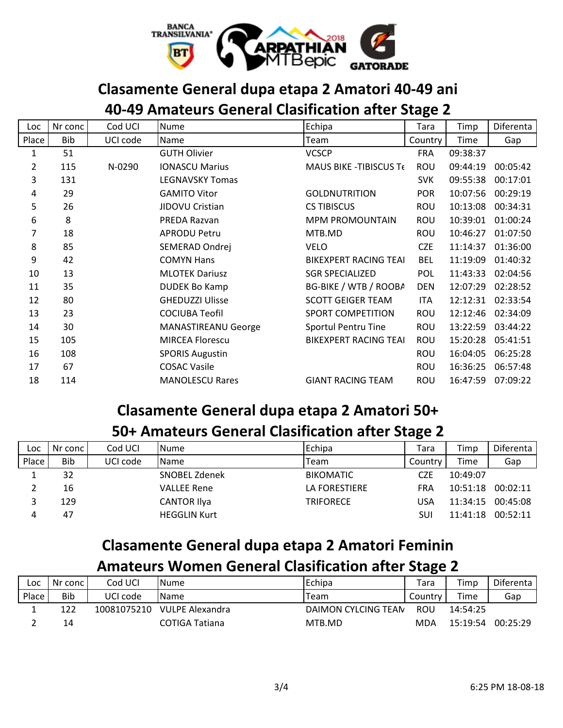

### **Clasamente General dupa etapa 2 Amatori 40-49 ani**

### **40-49 Amateurs General Clasification after Stage 2**

| Loc   | Nr conc    | Cod UCI  | <b>Nume</b>                | Echipa                       | Tara       | Timp     | Diferenta |
|-------|------------|----------|----------------------------|------------------------------|------------|----------|-----------|
| Place | <b>Bib</b> | UCI code | Name                       | Team                         | Country    | Time     | Gap       |
| 1     | 51         |          | <b>GUTH Olivier</b>        | <b>VCSCP</b>                 | <b>FRA</b> | 09:38:37 |           |
| 2     | 115        | N-0290   | <b>IONASCU Marius</b>      | MAUS BIKE - TIBISCUS Te      | <b>ROU</b> | 09:44:19 | 00:05:42  |
| 3     | 131        |          | <b>LEGNAVSKY Tomas</b>     |                              | <b>SVK</b> | 09:55:38 | 00:17:01  |
| 4     | 29         |          | <b>GAMITO Vitor</b>        | <b>GOLDNUTRITION</b>         | <b>POR</b> | 10:07:56 | 00:29:19  |
| 5     | 26         |          | JIDOVU Cristian            | <b>CS TIBISCUS</b>           | <b>ROU</b> | 10:13:08 | 00:34:31  |
| 6     | 8          |          | PREDA Razvan               | <b>MPM PROMOUNTAIN</b>       | ROU        | 10:39:01 | 01:00:24  |
| 7     | 18         |          | <b>APRODU Petru</b>        | MTB.MD                       | <b>ROU</b> | 10:46:27 | 01:07:50  |
| 8     | 85         |          | SEMERAD Ondrej             | <b>VELO</b>                  | <b>CZE</b> | 11:14:37 | 01:36:00  |
| 9     | 42         |          | <b>COMYN Hans</b>          | <b>BIKEXPERT RACING TEAI</b> | <b>BEL</b> | 11:19:09 | 01:40:32  |
| 10    | 13         |          | <b>MLOTEK Dariusz</b>      | <b>SGR SPECIALIZED</b>       | <b>POL</b> | 11:43:33 | 02:04:56  |
| 11    | 35         |          | <b>DUDEK Bo Kamp</b>       | BG-BIKE / WTB / ROOBA        | <b>DEN</b> | 12:07:29 | 02:28:52  |
| 12    | 80         |          | <b>GHEDUZZI Ulisse</b>     | <b>SCOTT GEIGER TEAM</b>     | <b>ITA</b> | 12:12:31 | 02:33:54  |
| 13    | 23         |          | <b>COCIUBA Teofil</b>      | <b>SPORT COMPETITION</b>     | <b>ROU</b> | 12:12:46 | 02:34:09  |
| 14    | 30         |          | <b>MANASTIREANU George</b> | Sportul Pentru Tine          | <b>ROU</b> | 13:22:59 | 03:44:22  |
| 15    | 105        |          | <b>MIRCEA Florescu</b>     | <b>BIKEXPERT RACING TEAI</b> | <b>ROU</b> | 15:20:28 | 05:41:51  |
| 16    | 108        |          | <b>SPORIS Augustin</b>     |                              | <b>ROU</b> | 16:04:05 | 06:25:28  |
| 17    | 67         |          | <b>COSAC Vasile</b>        |                              | <b>ROU</b> | 16:36:25 | 06:57:48  |
| 18    | 114        |          | <b>MANOLESCU Rares</b>     | <b>GIANT RACING TEAM</b>     | <b>ROU</b> | 16:47:59 | 07:09:22  |

### **Clasamente General dupa etapa 2 Amatori 50+**

#### **50+ Amateurs General Clasification after Stage 2**

| Loc   | Nr conc | Cod UCI  | <b>Nume</b>         | Echipa           | Tara       | Timp     | Diferenta |
|-------|---------|----------|---------------------|------------------|------------|----------|-----------|
| Place | Bib     | UCI code | <b>Name</b>         | Team             | Country    | Time     | Gap       |
|       | 32      |          | SNOBEL Zdenek       | <b>BIKOMATIC</b> | <b>CZE</b> | 10:49:07 |           |
|       | 16      |          | <b>VALLEE Rene</b>  | LA FORESTIERE    | FRA        | 10:51:18 | 00:02:11  |
|       | 129     |          | <b>CANTOR Ilya</b>  | <b>TRIFORECE</b> | USA        | 11:34:15 | 00:45:08  |
| 4     | 47      |          | <b>HEGGLIN Kurt</b> |                  | SU         | 11:41:18 | 00:52:11  |

## **Clasamente General dupa etapa 2 Amatori Feminin**

#### **Amateurs Women General Clasification after Stage 2**

| LOC   | Nr conc l  | Cod UCI     | <b>I</b> Nume   | Echipa              | Tara    | Timp     | Diferenta |
|-------|------------|-------------|-----------------|---------------------|---------|----------|-----------|
| Place | <b>Bib</b> | UCI code    | <b>I</b> Name   | Team                | Country | Time     | Gap       |
|       | 122        | 10081075210 | VULPE Alexandra | DAIMON CYLCING TEAN | ROU     | 14:54:25 |           |
|       | 14         |             | COTIGA Tatiana  | MTB.MD              | MDA     | 15:19:54 | 00:25:29  |